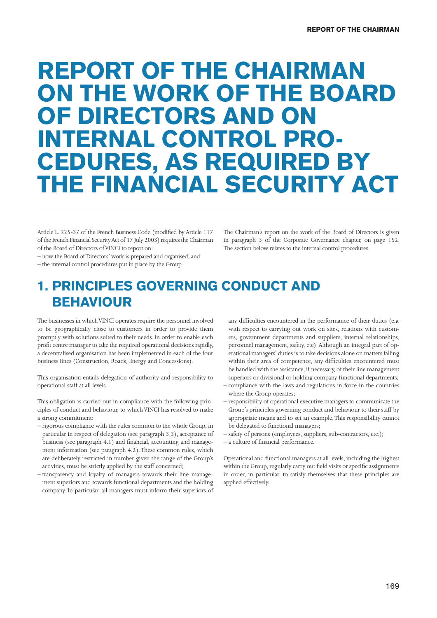# REPORT OF THE CHAIRMAN ON THE WORK OF THE BOARD OF DIRECTORS AND ON INTERNAL CONTROL PRO-CEDURES, AS REQUIRED BY THE FINANCIAL SECURITY ACT

Article L. 225-37 of the French Business Code (modified by Article 117 of the French Financial Security Act of 17 July 2003) requires the Chairman of the Board of Directors of VINCI to report on:

– how the Board of Directors' work is prepared and organised; and

– the internal control procedures put in place by the Group.

The Chairman's report on the work of the Board of Directors is given in paragraph 3 of the Corporate Governance chapter, on page 152. The section below relates to the internal control procedures.

### 1. PRINCIPLES GOVERNING CONDUCT AND BEHAVIOUR

The businesses in which VINCI operates require the personnel involved to be geographically close to customers in order to provide them promptly with solutions suited to their needs. In order to enable each profit centre manager to take the required operational decisions rapidly, a decentralised organisation has been implemented in each of the four business lines (Construction, Roads, Energy and Concessions).

This organisation entails delegation of authority and responsibility to operational staff at all levels.

This obligation is carried out in compliance with the following principles of conduct and behaviour, to which VINCI has resolved to make a strong commitment:

- rigorous compliance with the rules common to the whole Group, in particular in respect of delegation (see paragraph 3.3), acceptance of business (see paragraph 4.1) and financial, accounting and management information (see paragraph 4.2). These common rules, which are deliberately restricted in number given the range of the Group's activities, must be strictly applied by the staff concerned;
- transparency and loyalty of managers towards their line management superiors and towards functional departments and the holding company. In particular, all managers must inform their superiors of

any difficulties encountered in the performance of their duties (e.g. with respect to carrying out work on sites, relations with customers, government departments and suppliers, internal relationships, personnel management, safety, etc). Although an integral part of operational managers' duties is to take decisions alone on matters falling within their area of competence, any difficulties encountered must be handled with the assistance, if necessary, of their line management superiors or divisional or holding company functional departments;

- compliance with the laws and regulations in force in the countries where the Group operates;
- responsibility of operational executive managers to communicate the Group's principles governing conduct and behaviour to their staff by appropriate means and to set an example. This responsibility cannot be delegated to functional managers;
- safety of persons (employees, suppliers, sub-contractors, etc.);
- a culture of financial performance.

Operational and functional managers at all levels, including the highest within the Group, regularly carry out field visits or specific assignments in order, in particular, to satisfy themselves that these principles are applied effectively.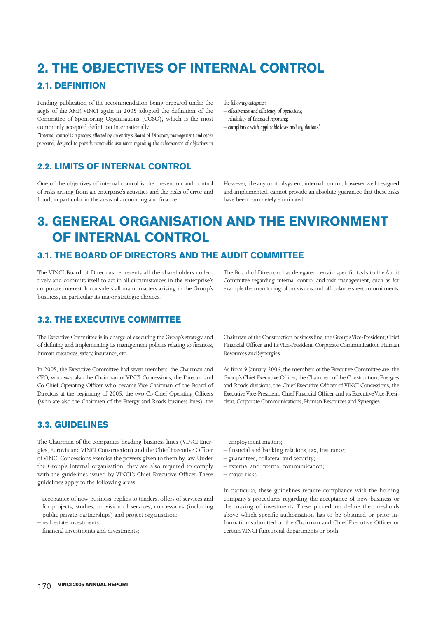# 2. THE OBJECTIVES OF INTERNAL CONTROL

#### 2.1. DEFINITION

Pending publication of the recommendation being prepared under the aegis of the AMF, VINCI again in 2005 adopted the definition of the Committee of Sponsoring Organisations (COSO), which is the most commonly accepted definition internationally:

*"Internal control is a process, effected by an entity's Board of Directors, management and other personnel, designed to provide reasonable assurance regarding the achievement of objectives in* 

2.2. LIMITS OF INTERNAL CONTROL

One of the objectives of internal control is the prevention and control of risks arising from an enterprise's activities and the risks of error and fraud, in particular in the areas of accounting and finance.

*the following categories:*

- $-$  effectiveness and efficiency of operations;
- $-$  reliability of financial reporting;
- *compliance with applicable laws and regulations."*

However, like any control system, internal control, however well designed and implemented, cannot provide an absolute guarantee that these risks have been completely eliminated.

## 3. GENERAL ORGANISATION AND THE ENVIRONMENT OF INTERNAL CONTROL

#### 3.1. THE BOARD OF DIRECTORS AND THE AUDIT COMMITTEE

The VINCI Board of Directors represents all the shareholders collectively and commits itself to act in all circumstances in the enterprise's corporate interest. It considers all major matters arising in the Group's business, in particular its major strategic choices.

The Board of Directors has delegated certain specific tasks to the Audit Committee regarding internal control and risk management, such as for example the monitoring of provisions and off-balance sheet commitments.

#### 3.2. THE EXECUTIVE COMMITTEE

The Executive Committee is in charge of executing the Group's strategy and of defining and implementing its management policies relating to finances, human resources, safety, insurance, etc.

In 2005, the Executive Committee had seven members: the Chairman and CEO, who was also the Chairman of VINCI Concessions, the Director and Co-Chief Operating Officer who became Vice-Chairman of the Board of Directors at the beginning of 2005, the two Co-Chief Operating Officers (who are also the Chairmen of the Energy and Roads business lines), the

#### 3.3. GUIDELINES

The Chairmen of the companies heading business lines (VINCI Energies, Eurovia and VINCI Construction) and the Chief Executive Officer of VINCI Concessions exercise the powers given to them by law. Under the Group's internal organisation, they are also required to comply with the guidelines issued by VINCI's Chief Executive Officer. These guidelines apply to the following areas:

Chairman of the Construction business line, the Group's Vice-President, Chief Financial Officer and its Vice-President, Corporate Communication, Human Resources and Synergies.

As from 9 January 2006, the members of the Executive Committee are: the Group's Chief Executive Officer, the Chairmen of the Construction, Energies and Roads divisions, the Chief Executive Officer of VINCI Concessions, the Executive Vice-President, Chief Financial Officer and its Executive Vice-President, Corporate Communications, Human Resources and Synergies.

- employment matters;
- financial and banking relations, tax, insurance;
- guarantees, collateral and security;
- external and internal communication;
- major risks.

In particular, these guidelines require compliance with the holding company's procedures regarding the acceptance of new business or the making of investments. These procedures define the thresholds above which specific authorisation has to be obtained or prior information submitted to the Chairman and Chief Executive Officer or certain VINCI functional departments or both.

<sup>–</sup> acceptance of new business, replies to tenders, offers of services and for projects, studies, provision of services, concessions (including public private-partnerships) and project organisation;

<sup>–</sup> real-estate investments;

<sup>–</sup> fi nancial investments and divestments;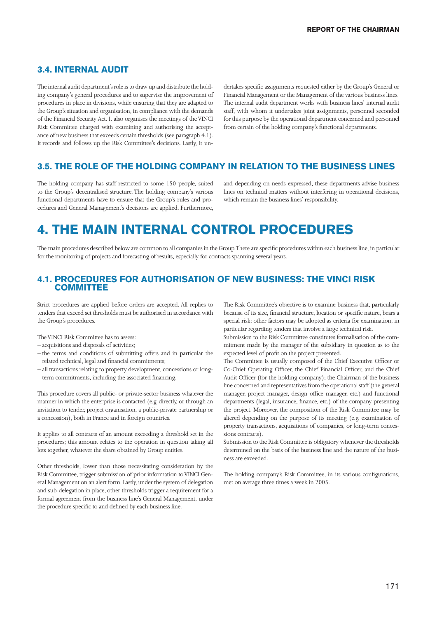#### 3.4. INTERNAL AUDIT

The internal audit department's role is to draw up and distribute the holding company's general procedures and to supervise the improvement of procedures in place in divisions, while ensuring that they are adapted to the Group's situation and organisation, in compliance with the demands of the Financial Security Act. It also organises the meetings of the VINCI Risk Committee charged with examining and authorising the acceptance of new business that exceeds certain thresholds (see paragraph 4.1). It records and follows up the Risk Committee's decisions. Lastly, it undertakes specific assignments requested either by the Group's General or Financial Management or the Management of the various business lines. The internal audit department works with business lines' internal audit staff, with whom it undertakes joint assignments, personnel seconded for this purpose by the operational department concerned and personnel from certain of the holding company's functional departments.

#### 3.5. THE ROLE OF THE HOLDING COMPANY IN RELATION TO THE BUSINESS LINES

The holding company has staff restricted to some 150 people, suited to the Group's decentralised structure. The holding company's various functional departments have to ensure that the Group's rules and procedures and General Management's decisions are applied. Furthermore,

and depending on needs expressed, these departments advise business lines on technical matters without interfering in operational decisions, which remain the business lines' responsibility.

### 4. THE MAIN INTERNAL CONTROL PROCEDURES

The main procedures described below are common to all companies in the Group. There are specific procedures within each business line, in particular for the monitoring of projects and forecasting of results, especially for contracts spanning several years.

#### 4.1. PROCEDURES FOR AUTHORISATION OF NEW BUSINESS: THE VINCI RISK **COMMITTEE**

Strict procedures are applied before orders are accepted. All replies to tenders that exceed set thresholds must be authorised in accordance with the Group's procedures.

- The VINCI Risk Committee has to assess:
- acquisitions and disposals of activities;
- the terms and conditions of submitting offers and in particular the related technical, legal and financial commitments;
- all transactions relating to property development, concessions or longterm commitments, including the associated financing.

This procedure covers all public- or private-sector business whatever the manner in which the enterprise is contacted (e.g. directly, or through an invitation to tender, project organisation, a public-private partnership or a concession), both in France and in foreign countries.

It applies to all contracts of an amount exceeding a threshold set in the procedures; this amount relates to the operation in question taking all lots together, whatever the share obtained by Group entities.

Other thresholds, lower than those necessitating consideration by the Risk Committee, trigger submission of prior information to VINCI General Management on an alert form. Lastly, under the system of delegation and sub-delegation in place, other thresholds trigger a requirement for a formal agreement from the business line's General Management, under the procedure specific to and defined by each business line.

The Risk Committee's objective is to examine business that, particularly because of its size, financial structure, location or specific nature, bears a special risk; other factors may be adopted as criteria for examination, in particular regarding tenders that involve a large technical risk.

Submission to the Risk Committee constitutes formalisation of the commitment made by the manager of the subsidiary in question as to the expected level of profit on the project presented.

The Committee is usually composed of the Chief Executive Officer or Co-Chief Operating Officer, the Chief Financial Officer, and the Chief Audit Officer (for the holding company); the Chairman of the business line concerned and representatives from the operational staff (the general manager, project manager, design office manager, etc.) and functional departments (legal, insurance, finance, etc.) of the company presenting the project. Moreover, the composition of the Risk Committee may be altered depending on the purpose of its meeting (e.g. examination of property transactions, acquisitions of companies, or long-term concessions contracts).

Submission to the Risk Committee is obligatory whenever the thresholds determined on the basis of the business line and the nature of the business are exceeded.

The holding company's Risk Committee, in its various configurations, met on average three times a week in 2005.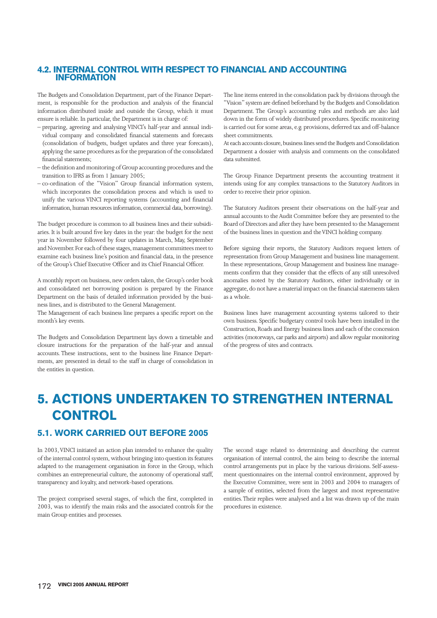#### 4.2. INTERNAL CONTROL WITH RESPECT TO FINANCIAL AND ACCOUNTING INFORMATION

The Budgets and Consolidation Department, part of the Finance Department, is responsible for the production and analysis of the financial information distributed inside and outside the Group, which it must ensure is reliable. In particular, the Department is in charge of:

- preparing, agreeing and analysing VINCI's half-year and annual individual company and consolidated financial statements and forecasts (consolidation of budgets, budget updates and three year forecasts), applying the same procedures as for the preparation of the consolidated financial statements;
- the definition and monitoring of Group accounting procedures and the transition to IFRS as from 1 January 2005;
- $-$  co-ordination of the "Vision" Group financial information system, which incorporates the consolidation process and which is used to unify the various VINCI reporting systems (accounting and financial information, human resources information, commercial data, borrowing).

The budget procedure is common to all business lines and their subsidiaries. It is built around five key dates in the year: the budget for the next year in November followed by four updates in March, May, September and November. For each of these stages, management committees meet to examine each business line's position and financial data, in the presence of the Group's Chief Executive Officer and its Chief Financial Officer.

A monthly report on business, new orders taken, the Group's order book and consolidated net borrowing position is prepared by the Finance Department on the basis of detailed information provided by the business lines, and is distributed to the General Management.

The Management of each business line prepares a specific report on the month's key events.

The Budgets and Consolidation Department lays down a timetable and closure instructions for the preparation of the half-year and annual accounts. These instructions, sent to the business line Finance Departments, are presented in detail to the staff in charge of consolidation in the entities in question.

The line items entered in the consolidation pack by divisions through the "Vision" system are defined beforehand by the Budgets and Consolidation Department. The Group's accounting rules and methods are also laid down in the form of widely distributed procedures. Specific monitoring is carried out for some areas, e.g. provisions, deferred tax and off-balance sheet commitments.

At each accounts closure, business lines send the Budgets and Consolidation Department a dossier with analysis and comments on the consolidated data submitted.

The Group Finance Department presents the accounting treatment it intends using for any complex transactions to the Statutory Auditors in order to receive their prior opinion.

The Statutory Auditors present their observations on the half-year and annual accounts to the Audit Committee before they are presented to the Board of Directors and after they have been presented to the Management of the business lines in question and the VINCI holding company.

Before signing their reports, the Statutory Auditors request letters of representation from Group Management and business line management. In these representations, Group Management and business line managements confirm that they consider that the effects of any still unresolved anomalies noted by the Statutory Auditors, either individually or in aggregate, do not have a material impact on the financial statements taken as a whole.

Business lines have management accounting systems tailored to their own business. Specific budgetary control tools have been installed in the Construction, Roads and Energy business lines and each of the concession activities (motorways, car parks and airports) and allow regular monitoring of the progress of sites and contracts.

# 5. ACTIONS UNDERTAKEN TO STRENGTHEN INTERNAL **CONTROL**

#### 5.1. WORK CARRIED OUT BEFORE 2005

In 2003, VINCI initiated an action plan intended to enhance the quality of the internal control system, without bringing into question its features adapted to the management organisation in force in the Group, which combines an entrepreneurial culture, the autonomy of operational staff, transparency and loyalty, and network-based operations.

The project comprised several stages, of which the first, completed in 2003, was to identify the main risks and the associated controls for the main Group entities and processes.

The second stage related to determining and describing the current organisation of internal control, the aim being to describe the internal control arrangements put in place by the various divisions. Self-assessment questionnaires on the internal control environment, approved by the Executive Committee, were sent in 2003 and 2004 to managers of a sample of entities, selected from the largest and most representative entities. Their replies were analysed and a list was drawn up of the main procedures in existence.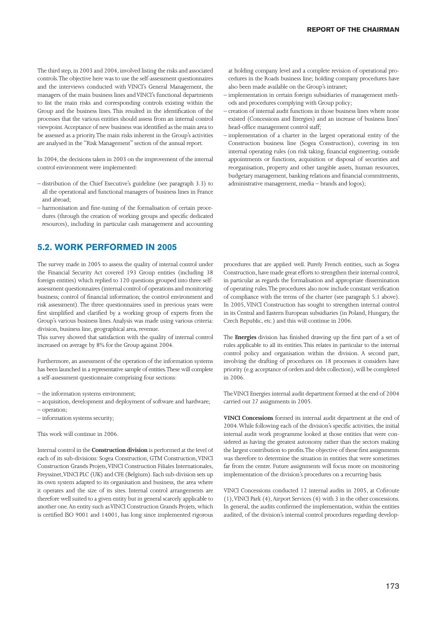The third step, in 2003 and 2004, involved listing the risks and associated controls. The objective here was to use the self-assessment questionnaires and the interviews conducted with VINCI's General Management, the managers of the main business lines and VINCI's functional departments to list the main risks and corresponding controls existing within the Group and the business lines. This resulted in the identification of the processes that the various entities should assess from an internal control viewpoint. Acceptance of new business was identified as the main area to be assessed as a priority. The main risks inherent in the Group's activities are analysed in the "Risk Management" section of the annual report.

In 2004, the decisions taken in 2003 on the improvement of the internal control environment were implemented:

- distribution of the Chief Executive's guideline (see paragraph 3.3) to all the operational and functional managers of business lines in France and abroad;
- harmonisation and fine-tuning of the formalisation of certain procedures (through the creation of working groups and specific dedicated resources), including in particular cash management and accounting

#### 5.2. WORK PERFORMED IN 2005

The survey made in 2005 to assess the quality of internal control under the Financial Security Act covered 193 Group entities (including 38 foreign entities) which replied to 120 questions grouped into three self assessment questionnaires (internal control of operations and monitoring business; control of financial information; the control environment and risk assessment). The three questionnaires used in previous years were first simplified and clarified by a working group of experts from the Group's various business lines. Analysis was made using various criteria: division, business line, geographical area, revenue.

This survey showed that satisfaction with the quality of internal control increased on average by 8% for the Group against 2004.

Furthermore, an assessment of the operation of the information systems has been launched in a representative sample of entities. These will complete a self-assessment questionnaire comprising four sections:

– the information systems environment;

- acquisition, development and deployment of software and hardware;
- operation;

– information systems security;

This work will continue in 2006.

Internal control in the **Construction division** is performed at the level of each of its sub-divisions: Sogea Construction, GTM Construction, VINCI Construction Grands Projets, VINCI Construction Filiales Internationales, Freyssinet, VINCI PLC (UK) and CFE (Belgium). Each sub-division sets up its own system adapted to its organisation and business, the area where it operates and the size of its sites. Internal control arrangements are therefore well suited to a given entity but in general scarcely applicable to another one. An entity such as VINCI Construction Grands Projets, which is certified ISO 9001 and 14001, has long since implemented rigorous at holding company level and a complete revision of operational procedures in the Roads business line; holding company procedures have also been made available on the Group's intranet;

- implementation in certain foreign subsidiaries of management methods and procedures complying with Group policy;
- creation of internal audit functions in those business lines where none existed (Concessions and Energies) and an increase of business lines' head-office management control staff;
- implementation of a charter in the largest operational entity of the Construction business line (Sogea Construction), covering its ten internal operating rules (on risk taking, financial engineering, outside appointments or functions, acquisition or disposal of securities and reorganisation, property and other tangible assets, human resources, budgetary management, banking relations and financial commitments, administrative management, media – brands and logos);

procedures that are applied well. Purely French entities, such as Sogea Construction, have made great efforts to strengthen their internal control, in particular as regards the formalisation and appropriate dissemination of operating rules. The procedures also now include constant verification of compliance with the terms of the charter (see paragraph 5.1 above). In 2005, VINCI Construction has sought to strengthen internal control in its Central and Eastern European subsidiaries (in Poland, Hungary, the Czech Republic, etc.) and this will continue in 2006.

The **Energies** division has finished drawing up the first part of a set of rules applicable to all its entities. This relates in particular to the internal control policy and organisation within the division. A second part, involving the drafting of procedures on 18 processes it considers have priority (e.g. acceptance of orders and debt collection), will be completed in 2006.

The VINCI Energies internal audit department formed at the end of 2004 carried out 27 assignments in 2005.

**VINCI Concessions** formed its internal audit department at the end of 2004. While following each of the division's specific activities, the initial internal audit work programme looked at those entities that were considered as having the greatest autonomy rather than the sectors making the largest contribution to profits. The objective of these first assignments was therefore to determine the situation in entities that were sometimes far from the centre. Future assignments will focus more on monitoring implementation of the division's procedures on a recurring basis.

VINCI Concessions conducted 12 internal audits in 2005, at Cofiroute (1), VINCI Park (4), Airport Services (4) with 3 in the other concessions. In general, the audits confirmed the implementation, within the entities audited, of the division's internal control procedures regarding develop-